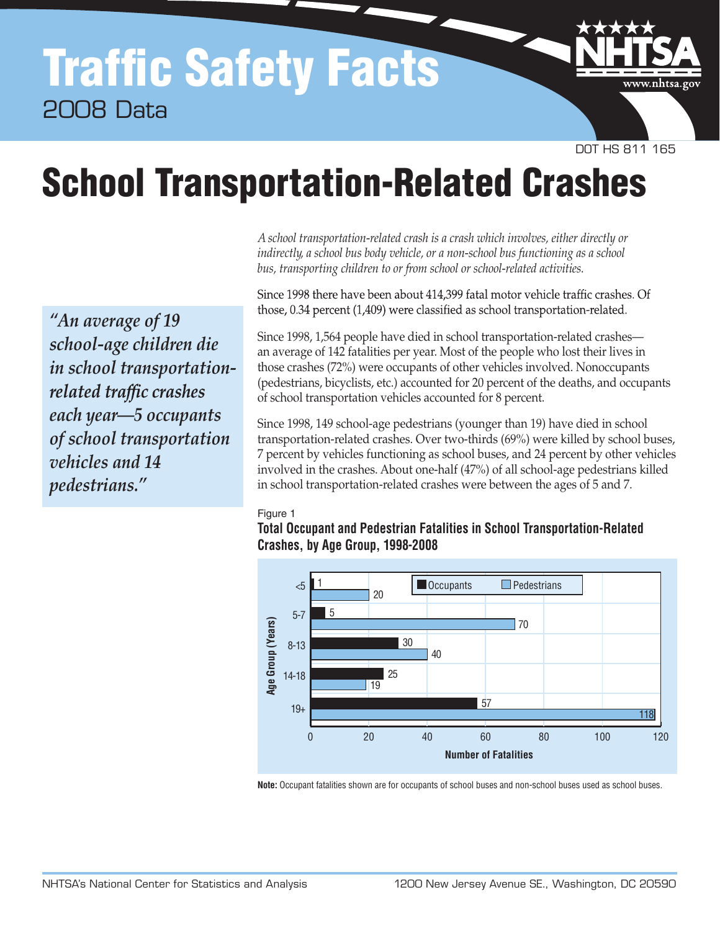## Traffic Safety Facts 2008 Data



DOT HS 811 165

# School Transportation-Related Crashes

*"An average of 19 school-age children die in school transportation*related traffic crashes *each year—5 occupants of school transportation vehicles and 14 pedestrians."*

*A school transportation-related crash is a crash which involves, either directly or indirectly, a school bus body vehicle, or a non-school bus functioning as a school bus, transporting children to or from school or school-related activities.*

Since 1998 there have been about 414,399 fatal motor vehicle traffic crashes. Of those, 0.34 percent (1,409) were classified as school transportation-related.

Since 1998, 1,564 people have died in school transportation-related crashes an average of 142 fatalities per year. Most of the people who lost their lives in those crashes (72%) were occupants of other vehicles involved. Nonoccupants (pedestrians, bicyclists, etc.) accounted for 20 percent of the deaths, and occupants of school transportation vehicles accounted for 8 percent.

Since 1998, 149 school-age pedestrians (younger than 19) have died in school transportation-related crashes. Over two-thirds (69%) were killed by school buses, 7 percent by vehicles functioning as school buses, and 24 percent by other vehicles involved in the crashes. About one-half (47%) of all school-age pedestrians killed in school transportation-related crashes were between the ages of 5 and 7.

#### Figure 1





**Note:** Occupant fatalities shown are for occupants of school buses and non-school buses used as school buses.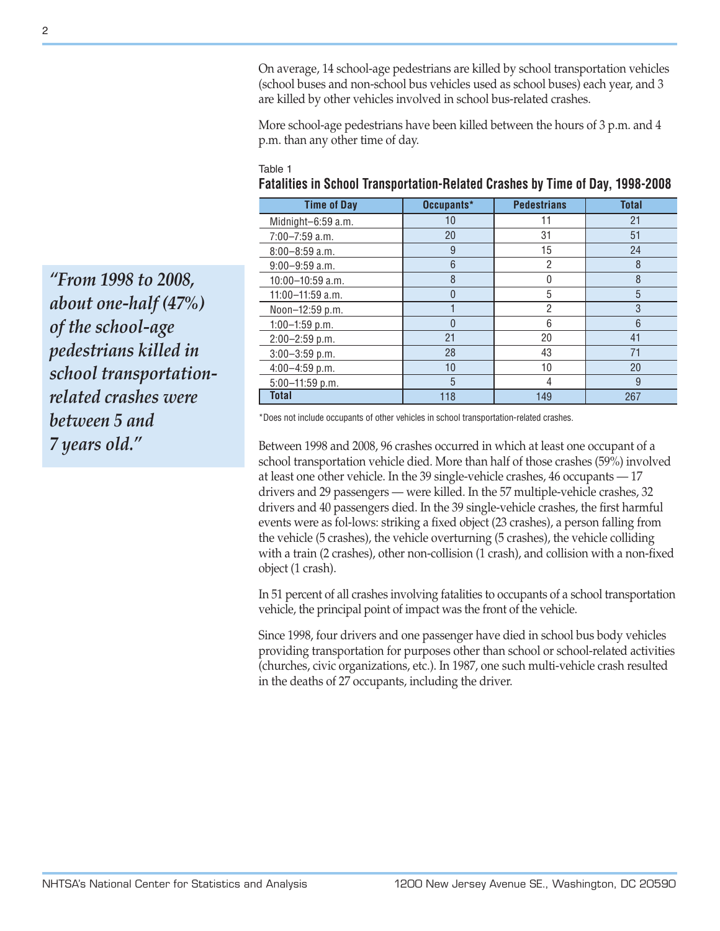On average, 14 school-age pedestrians are killed by school transportation vehicles (school buses and non-school bus vehicles used as school buses) each year, and 3 are killed by other vehicles involved in school bus-related crashes.

More school-age pedestrians have been killed between the hours of 3 p.m. and 4 p.m. than any other time of day.

#### Table 1

| <b>Time of Day</b>   | Occupants*     | <b>Pedestrians</b> | <b>Total</b> |
|----------------------|----------------|--------------------|--------------|
| Midnight-6:59 a.m.   | 10             | 11                 | 21           |
| $7:00 - 7:59$ a.m.   | 20             | 31                 | 51           |
| $8:00 - 8:59$ a.m.   | 9              | 15                 | 24           |
| $9:00-9:59$ a.m.     | 6              | 2                  | 8            |
| $10:00 - 10:59$ a.m. | 8              | 0                  | 8            |
| $11:00 - 11:59$ a.m. | $\overline{0}$ | 5                  | 5            |
| Noon-12:59 p.m.      |                | $\overline{2}$     | 3            |
| $1:00-1:59$ p.m.     | $\Omega$       | 6                  | 6            |
| 2:00-2:59 p.m.       | 21             | 20                 | 41           |
| $3:00-3:59$ p.m.     | 28             | 43                 | 71           |
| $4:00-4:59$ p.m.     | 10             | 10                 | 20           |
| $5:00 - 11:59$ p.m.  | 5              | 4                  | 9            |
| <b>Total</b>         | 118            | 149                | 267          |

*"From 1998 to 2008, about one-half (47%) of the school-age pedestrians killed in school transportationrelated crashes were between 5 and 7 years old."*

\*Does not include occupants of other vehicles in school transportation-related crashes.

Between 1998 and 2008, 96 crashes occurred in which at least one occupant of a school transportation vehicle died. More than half of those crashes (59%) involved at least one other vehicle. In the 39 single-vehicle crashes, 46 occupants — 17 drivers and 29 passengers — were killed. In the 57 multiple-vehicle crashes, 32 drivers and 40 passengers died. In the 39 single-vehicle crashes, the first harmful events were as fol-lows: striking a fixed object (23 crashes), a person falling from the vehicle (5 crashes), the vehicle overturning (5 crashes), the vehicle colliding with a train (2 crashes), other non-collision (1 crash), and collision with a non-fixed object (1 crash).

In 51 percent of all crashes involving fatalities to occupants of a school transportation vehicle, the principal point of impact was the front of the vehicle.

Since 1998, four drivers and one passenger have died in school bus body vehicles providing transportation for purposes other than school or school-related activities (churches, civic organizations, etc.). In 1987, one such multi-vehicle crash resulted in the deaths of 27 occupants, including the driver.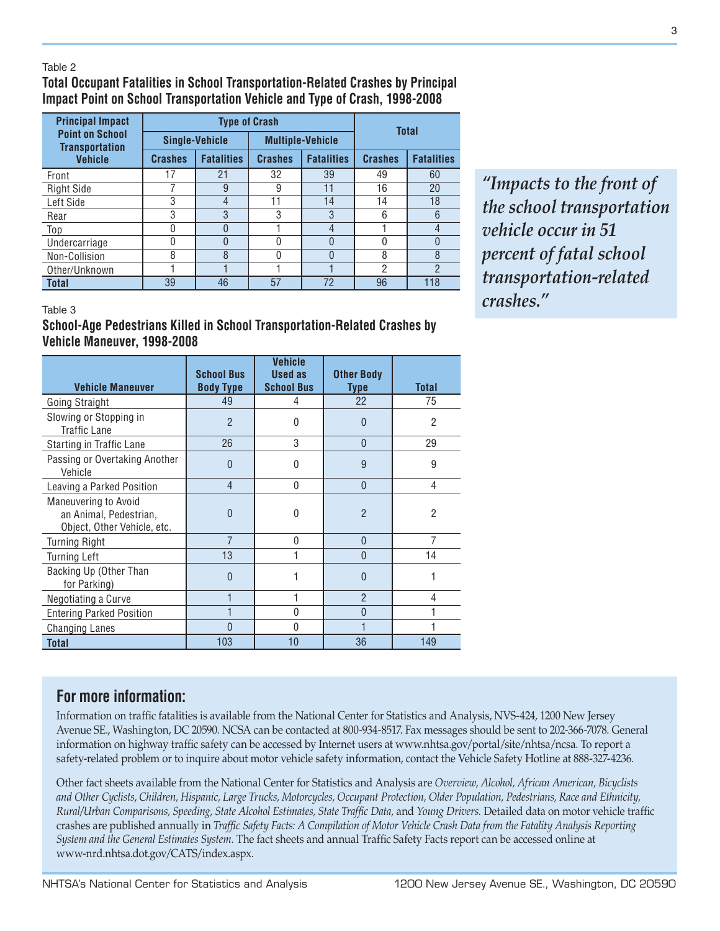#### Table 2

### **Total Occupant Fatalities in School Transportation-Related Crashes by Principal Impact Point on School Transportation Vehicle and Type of Crash, 1998-2008**

| <b>Principal Impact</b>                         |                | <b>Type of Crash</b>  | <b>Total</b> |                                     |    |                   |  |
|-------------------------------------------------|----------------|-----------------------|--------------|-------------------------------------|----|-------------------|--|
| <b>Point on School</b><br><b>Transportation</b> |                | <b>Single-Vehicle</b> |              | <b>Multiple-Vehicle</b>             |    |                   |  |
| <b>Vehicle</b>                                  | <b>Crashes</b> | <b>Fatalities</b>     |              | <b>Fatalities</b><br><b>Crashes</b> |    | <b>Fatalities</b> |  |
| Front                                           | 17             | 21                    | 32           | 39                                  | 49 | 60                |  |
| <b>Right Side</b>                               |                | 9                     | 9            | 11                                  | 16 | 20                |  |
| Left Side                                       | 3              | 4                     | 11           | 14                                  | 14 | 18                |  |
| Rear                                            | 3              | 3                     | 3            | 3                                   | 6  | 6                 |  |
| Top                                             | 0              |                       |              | $\overline{4}$                      |    | 4                 |  |
| Undercarriage                                   |                |                       | 0            | $\Omega$                            |    | 0                 |  |
| Non-Collision                                   | 8              | 8                     | 0            | 0                                   | 8  | 8                 |  |
| Other/Unknown                                   |                |                       |              |                                     | 2  | $\mathcal{P}$     |  |
| <b>Total</b>                                    | 39             | 46                    | 57           | 72                                  | 96 | 118               |  |

*"Impacts to the front of the school transportation vehicle occur in 51 percent of fatal school transportation-related crashes."*

#### Table 3

#### **School-Age Pedestrians Killed in School Transportation-Related Crashes by Vehicle Maneuver, 1998-2008**

| <b>Vehicle Maneuver</b>                                                              | <b>School Bus</b><br><b>Body Type</b> | <b>Vehicle</b><br>Used as<br><b>School Bus</b> | <b>Other Body</b><br>Type | <b>Total</b>   |
|--------------------------------------------------------------------------------------|---------------------------------------|------------------------------------------------|---------------------------|----------------|
| Going Straight                                                                       | 49                                    | 4                                              | 22                        | 75             |
| Slowing or Stopping in<br>Traffic Lane                                               | $\overline{2}$                        | 0                                              | $\theta$                  | 2              |
| Starting in Traffic Lane                                                             | 26                                    | 3                                              | $\theta$                  | 29             |
| Passing or Overtaking Another<br>Vehicle                                             | $\Omega$                              | 0                                              | 9                         | 9              |
| Leaving a Parked Position                                                            | $\overline{4}$                        | $\mathbf{0}$                                   | $\overline{0}$            | 4              |
| <b>Maneuvering to Avoid</b><br>an Animal, Pedestrian,<br>Object, Other Vehicle, etc. | $\Omega$                              | $\Omega$                                       | $\mathfrak{p}$            | $\overline{2}$ |
| <b>Turning Right</b>                                                                 | $\overline{7}$                        | $\Omega$                                       | $\Omega$                  | 7              |
| <b>Turning Left</b>                                                                  | 13                                    |                                                | $\mathbf{0}$              | 14             |
| Backing Up (Other Than<br>for Parking)                                               | U                                     |                                                | $\Omega$                  |                |
| Negotiating a Curve                                                                  |                                       |                                                | $\mathfrak{p}$            | 4              |
| <b>Entering Parked Position</b>                                                      |                                       | <sup>0</sup>                                   | $\Omega$                  |                |
| <b>Changing Lanes</b>                                                                | $\Omega$                              | $\Omega$                                       |                           |                |
| <b>Total</b>                                                                         | 103                                   | 10                                             | 36                        | 149            |

**For more information:**

Information on traffic fatalities is available from the National Center for Statistics and Analysis, NVS-424, 1200 New Jersey Avenue SE., Washington, DC 20590. NCSA can be contacted at 800-934-8517. Fax messages should be sent to 202-366-7078. General information on highway traffic safety can be accessed by Internet users at www.nhtsa.gov/portal/site/nhtsa/ncsa. To report a safety-related problem or to inquire about motor vehicle safety information, contact the Vehicle Safety Hotline at 888-327-4236.

Other fact sheets available from the National Center for Statistics and Analysis are *Overview, Alcohol, African American, Bicyclists and Other Cyclists*, *Children, Hispanic, Large Trucks, Motorcycles, Occupant Protection, Older Population, Pedestrians, Race and Ethnicity, Rural/Urban Comparisons, Speeding, State Alcohol Estimates, State Traffic Data,* and *Young Drivers.* Detailed data on motor vehicle traffic crashes are published annually in *Traffic Safety Facts: A Compilation of Motor Vehicle Crash Data from the Fatality Analysis Reporting System and the General Estimates System.* The fact sheets and annual Traffic Safety Facts report can be accessed online at www-nrd.nhtsa.dot.gov/CATS/index.aspx.